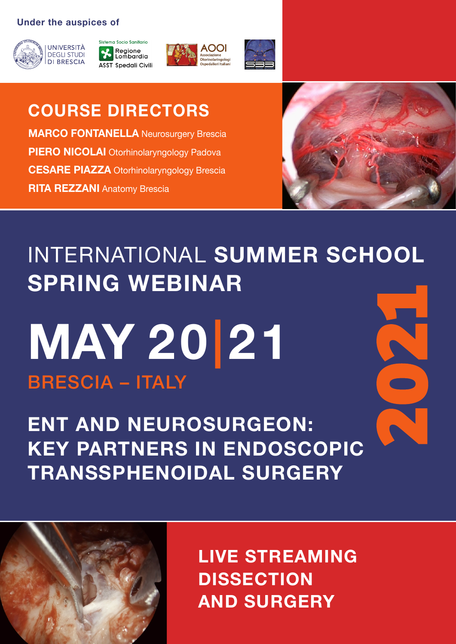#### **Under the auspices of**









Spedali Civilii di Brescia

IL TRATTAMENTO ENDOSCOPICO TRIDIMENSIONALE DELLA PATOLOGIA DEL BASICRANIO

**COURSE DIRECTORS MARCO FONTANELLA** Neurosurgery Brescia **PIERO NICOLAI** Otorhinolaryngology Padova **CESARE PIAZZA** Otorhinolaryngology Brescia **RITA REZZANI** Anatomy Brescia



## INTERNATIONAL **SUMMER SCHOOL SPRING WEBINAR**

# BRESCIA – ITALY **MAY 20|21**

**ENT AND NEUROSURGEON: KEY PARTNERS IN ENDOSCOPIC TRANSSPHENOIDAL SURGERY**



**LIVE STREAMING DISSECTION AND SURGERY**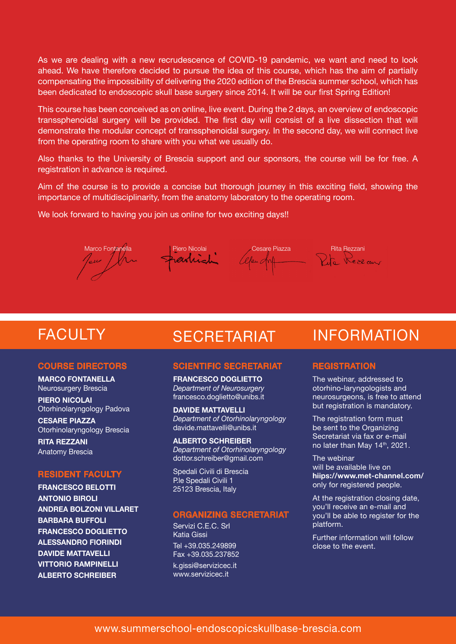As we are dealing with a new recrudescence of COVID-19 pandemic, we want and need to look ahead. We have therefore decided to pursue the idea of this course, which has the aim of partially compensating the impossibility of delivering the 2020 edition of the Brescia summer school, which has been dedicated to endoscopic skull base surgery since 2014. It will be our first Spring Edition!

This course has been conceived as on online, live event. During the 2 days, an overview of endoscopic transsphenoidal surgery will be provided. The first day will consist of a live dissection that will demonstrate the modular concept of transsphenoidal surgery. In the second day, we will connect live from the operating room to share with you what we usually do.

Also thanks to the University of Brescia support and our sponsors, the course will be for free. A registration in advance is required.

Aim of the course is to provide a concise but thorough journey in this exciting field, showing the importance of multidisciplinarity, from the anatomy laboratory to the operating room.

We look forward to having you join us online for two exciting days!!



## **FACULTY**

#### COURSE DIRECTORS

**MARCO FONTANELLA** Neurosurgery Brescia

**PIERO NICOLAI** Otorhinolaryngology Padova

**CESARE PIAZZA**  Otorhinolaryngology Brescia

**RITA REZZANI** Anatomy Brescia

#### RESIDENT FACULTY

**FRANCESCO BELOTTI ANTONIO BIROLI ANDREA BOLZONI VILLARET BARBARA BUFFOLI FRANCESCO DOGLIETTO ALESSANDRO FIORINDI DAVIDE MATTAVELLI VITTORIO RAMPINELLI ALBERTO SCHREIBER**

#### SCIENTIFIC SECRETARIAT

**FRANCESCO DOGLIETTO**  *Department of Neurosurgery*  francesco.doglietto@unibs.it

**DAVIDE MATTAVELLI** *Department of Otorhinolaryngology*  davide.mattavelli@unibs.it

**ALBERTO SCHREIBER** *Department of Otorhinolaryngology* dottor.schreiber@gmail.com

Spedali Civili di Brescia P.le Spedali Civili 1 25123 Brescia, Italy

#### ORGANIZING SECRETARIAT

Servizi C.E.C. Srl Katia Gissi Tel +39.035.249899 Fax +39.035.237852 k.gissi@servizicec.it www.servizicec.it

## SECRETARIAT INFORMATION

#### **REGISTRATION**

The webinar, addressed to otorhino-laryngologists and neurosurgeons, is free to attend but registration is mandatory.

The registration form must be sent to the Organizing Secretariat via fax or e-mail no later than May 14<sup>th</sup>, 2021.

The webinar will be available live on **hiips://www.met-channel.com/** only for registered people.

At the registration closing date, you'll receive an e-mail and you'll be able to register for the platform.

Further information will follow close to the event.